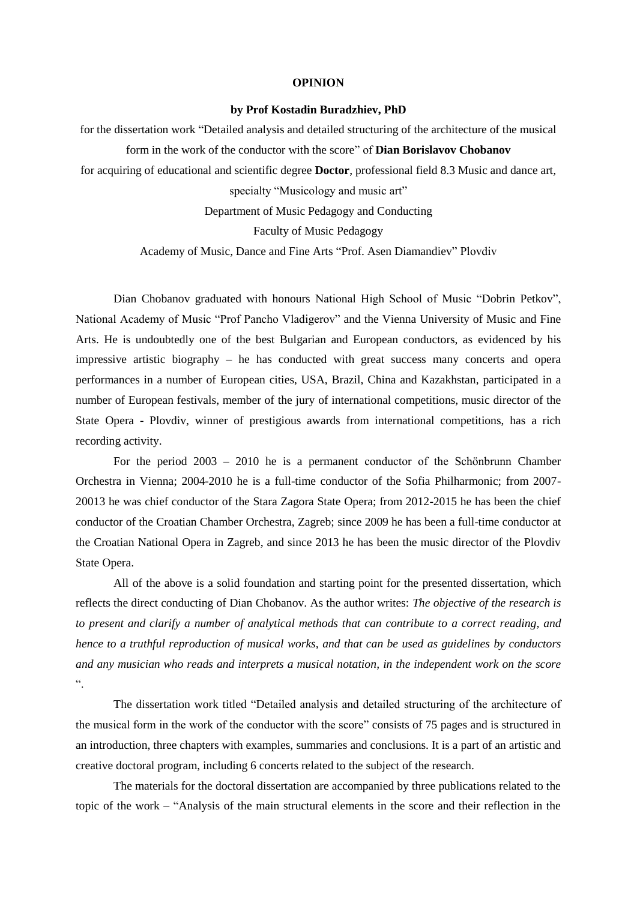## **OPINION**

## **by Prof Kostadin Buradzhiev, PhD**

for the dissertation work "Detailed analysis and detailed structuring of the architecture of the musical form in the work of the conductor with the score" of **Dian Borislavov Chobanov** for acquiring of educational and scientific degree **Doctor**, professional field 8.3 Music and dance art, specialty "Musicology and music art"

Department of Music Pedagogy and Conducting

Faculty of Music Pedagogy

Academy of Music, Dance and Fine Arts "Prof. Asen Diamandiev" Plovdiv

Dian Chobanov graduated with honours National High School of Music "Dobrin Petkov", National Academy of Music "Prof Pancho Vladigerov" and the Vienna University of Music and Fine Arts. He is undoubtedly one of the best Bulgarian and European conductors, as evidenced by his impressive artistic biography – he has conducted with great success many concerts and opera performances in a number of European cities, USA, Brazil, China and Kazakhstan, participated in a number of European festivals, member of the jury of international competitions, music director of the State Opera - Plovdiv, winner of prestigious awards from international competitions, has a rich recording activity.

For the period 2003 – 2010 he is a permanent conductor of the Schönbrunn Chamber Orchestra in Vienna; 2004-2010 he is a full-time conductor of the Sofia Philharmonic; from 2007- 20013 he was chief conductor of the Stara Zagora State Opera; from 2012-2015 he has been the chief conductor of the Croatian Chamber Orchestra, Zagreb; since 2009 he has been a full-time conductor at the Croatian National Opera in Zagreb, and since 2013 he has been the music director of the Plovdiv State Opera.

All of the above is a solid foundation and starting point for the presented dissertation, which reflects the direct conducting of Dian Chobanov. As the author writes: *The objective of the research is to present and clarify a number of analytical methods that can contribute to a correct reading, and hence to a truthful reproduction of musical works, and that can be used as guidelines by conductors and any musician who reads and interprets a musical notation, in the independent work on the score* ".

The dissertation work titled "Detailed analysis and detailed structuring of the architecture of the musical form in the work of the conductor with the score" consists of 75 pages and is structured in an introduction, three chapters with examples, summaries and conclusions. It is a part of an artistic and creative doctoral program, including 6 concerts related to the subject of the research.

The materials for the doctoral dissertation are accompanied by three publications related to the topic of the work – "Analysis of the main structural elements in the score and their reflection in the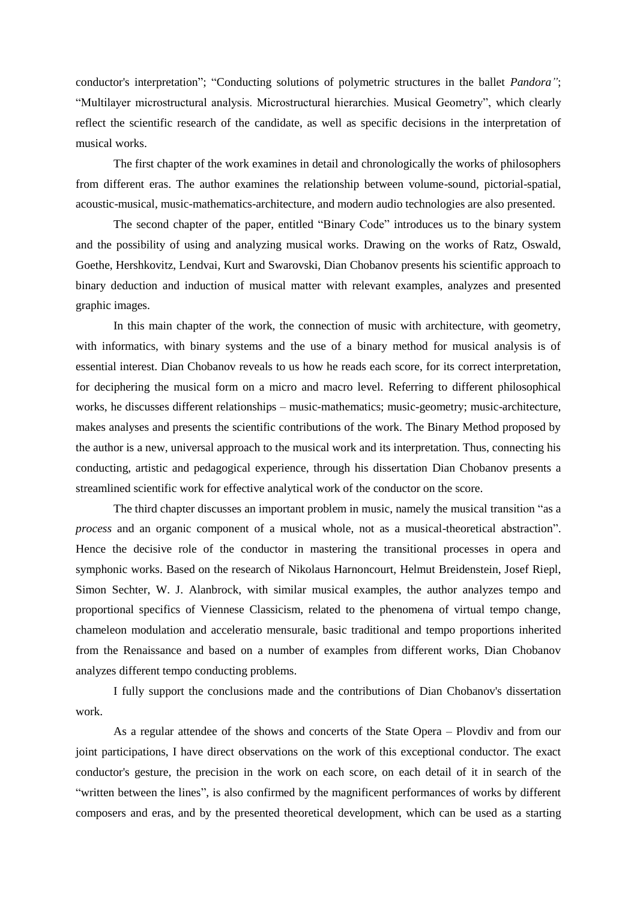conductor's interpretation"; "Conducting solutions of polymetric structures in the ballet *Pandora"*; "Multilayer microstructural analysis. Microstructural hierarchies. Musical Geometry", which clearly reflect the scientific research of the candidate, as well as specific decisions in the interpretation of musical works.

The first chapter of the work examines in detail and chronologically the works of philosophers from different eras. The author examines the relationship between volume-sound, pictorial-spatial, acoustic-musical, music-mathematics-architecture, and modern audio technologies are also presented.

The second chapter of the paper, entitled "Binary Code" introduces us to the binary system and the possibility of using and analyzing musical works. Drawing on the works of Ratz, Oswald, Goethe, Hershkovitz, Lendvai, Kurt and Swarovski, Dian Chobanov presents his scientific approach to binary deduction and induction of musical matter with relevant examples, analyzes and presented graphic images.

In this main chapter of the work, the connection of music with architecture, with geometry, with informatics, with binary systems and the use of a binary method for musical analysis is of essential interest. Dian Chobanov reveals to us how he reads each score, for its correct interpretation, for deciphering the musical form on a micro and macro level. Referring to different philosophical works, he discusses different relationships – music-mathematics; music-geometry; music-architecture, makes analyses and presents the scientific contributions of the work. The Binary Method proposed by the author is a new, universal approach to the musical work and its interpretation. Thus, connecting his conducting, artistic and pedagogical experience, through his dissertation Dian Chobanov presents a streamlined scientific work for effective analytical work of the conductor on the score.

The third chapter discusses an important problem in music, namely the musical transition "as a *process* and an organic component of a musical whole, not as a musical-theoretical abstraction". Hence the decisive role of the conductor in mastering the transitional processes in opera and symphonic works. Based on the research of Nikolaus Harnoncourt, Helmut Breidenstein, Josef Riepl, Simon Sechter, W. J. Alanbrock, with similar musical examples, the author analyzes tempo and proportional specifics of Viennese Classicism, related to the phenomena of virtual tempo change, chameleon modulation and acceleratio mensurale, basic traditional and tempo proportions inherited from the Renaissance and based on a number of examples from different works, Dian Chobanov analyzes different tempo conducting problems.

I fully support the conclusions made and the contributions of Dian Chobanov's dissertation work.

As a regular attendee of the shows and concerts of the State Opera – Plovdiv and from our joint participations, I have direct observations on the work of this exceptional conductor. The exact conductor's gesture, the precision in the work on each score, on each detail of it in search of the "written between the lines", is also confirmed by the magnificent performances of works by different composers and eras, and by the presented theoretical development, which can be used as a starting